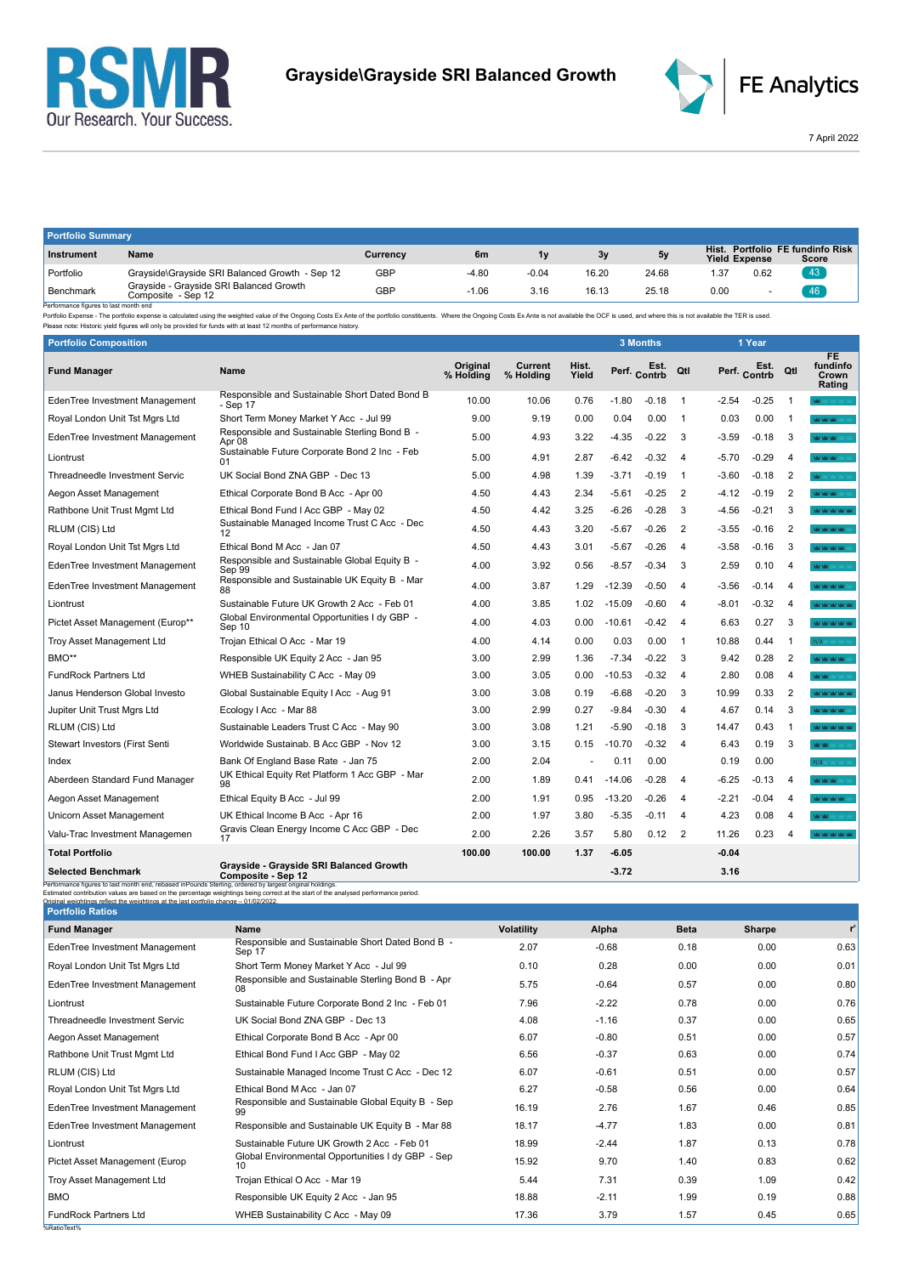



FE Analytics

7 April 2022

| <b>Portfolio Summary</b>                             |                                                               |          |         |         |       |       |                               |      |                                     |  |
|------------------------------------------------------|---------------------------------------------------------------|----------|---------|---------|-------|-------|-------------------------------|------|-------------------------------------|--|
| Instrument                                           | Name                                                          | Currency | 6m      | 1v      | 3v    | 5v    | Hist.<br><b>Yield Expense</b> |      | Portfolio FE fundinfo Risk<br>Score |  |
| Portfolio                                            | Grayside\Grayside SRI Balanced Growth - Sep 12                | GBP      | $-4.80$ | $-0.04$ | 16.20 | 24.68 | .37                           | 0.62 | 43                                  |  |
| Benchmark<br>Desferences Correspondentes execute and | Grayside - Grayside SRI Balanced Growth<br>Composite - Sep 12 | GBP      | $-1.06$ | 3.16    | 16.13 | 25.18 | 0.00                          |      | 46                                  |  |

Benchmark Composite - Sep 12<br>- Performance figures is last month end<br>- Performance figures is alst month end<br>- Performance figures - The portfolio Expense is calculated using the weighted value of the Ongoing Costs Ex Ante

| <b>Portfolio Composition</b>          |                                                            |                              |                      |                |          | 3 Months     |                |         | 1 Year               |                |                                          |
|---------------------------------------|------------------------------------------------------------|------------------------------|----------------------|----------------|----------|--------------|----------------|---------|----------------------|----------------|------------------------------------------|
| <b>Fund Manager</b>                   | <b>Name</b>                                                | <b>Original</b><br>% Holding | Current<br>% Holdina | Hist.<br>Yield |          | Perf. Contrb | Qtl            |         | Est.<br>Perf. Contrb | Qtl            | <b>FE</b><br>fundinfo<br>Crown<br>Rating |
| EdenTree Investment Management        | Responsible and Sustainable Short Dated Bond B<br>- Sep 17 | 10.00                        | 10.06                | 0.76           | $-1.80$  | $-0.18$      | $\overline{1}$ | $-2.54$ | $-0.25$              | $\overline{1}$ | <b>W</b> MONEY MO                        |
| Royal London Unit Tst Mgrs Ltd        | Short Term Money Market Y Acc - Jul 99                     | 9.00                         | 9.19                 | 0.00           | 0.04     | 0.00         | $\overline{1}$ | 0.03    | 0.00                 | $\overline{1}$ | MOM VALUE                                |
| EdenTree Investment Management        | Responsible and Sustainable Sterling Bond B -<br>Apr 08    | 5.00                         | 4.93                 | 3.22           | -4.35    | $-0.22$      | 3              | $-3.59$ | $-0.18$              | 3              | <b>MAY MAY MAY</b> SOFT OF               |
| Liontrust                             | Sustainable Future Corporate Bond 2 Inc - Feb<br>01        | 5.00                         | 4.91                 | 2.87           | $-6.42$  | $-0.32$      | 4              | $-5.70$ | $-0.29$              | 4              | MOMORATION                               |
| Threadneedle Investment Servic        | UK Social Bond ZNA GBP - Dec 13                            | 5.00                         | 4.98                 | 1.39           | $-3.71$  | $-0.19$      | $\overline{1}$ | $-3.60$ | $-0.18$              | $\overline{2}$ | <b>M</b> Mr Writer                       |
| Aegon Asset Management                | Ethical Corporate Bond B Acc - Apr 00                      | 4.50                         | 4.43                 | 2.34           | -5.61    | $-0.25$      | $\overline{2}$ | $-4.12$ | $-0.19$              | $\overline{2}$ | MOMORATIC                                |
| Rathbone Unit Trust Mgmt Ltd          | Ethical Bond Fund I Acc GBP - May 02                       | 4.50                         | 4.42                 | 3.25           | $-6.26$  | $-0.28$      | 3              | $-4.56$ | $-0.21$              | 3              | <b>WAS DRIVING</b>                       |
| RLUM (CIS) Ltd                        | Sustainable Managed Income Trust C Acc - Dec<br>12         | 4.50                         | 4.43                 | 3.20           | $-5.67$  | $-0.26$      | 2              | $-3.55$ | $-0.16$              | $\overline{2}$ | MOM VALUAL                               |
| Royal London Unit Tst Mgrs Ltd        | Ethical Bond M Acc - Jan 07                                | 4.50                         | 4.43                 | 3.01           | $-5.67$  | $-0.26$      | $\overline{4}$ | $-3.58$ | $-0.16$              | 3              | <b>MOVED MOVED</b>                       |
| EdenTree Investment Management        | Responsible and Sustainable Global Equity B -<br>Sep 99    | 4.00                         | 3.92                 | 0.56           | $-8.57$  | $-0.34$      | 3              | 2.59    | 0.10                 | $\overline{4}$ | WW.                                      |
| EdenTree Investment Management        | Responsible and Sustainable UK Equity B - Mar<br>88        | 4.00                         | 3.87                 | 1.29           | $-12.39$ | $-0.50$      | $\overline{4}$ | $-3.56$ | $-0.14$              | $\overline{4}$ | MOMORATO                                 |
| Liontrust                             | Sustainable Future UK Growth 2 Acc - Feb 01                | 4.00                         | 3.85                 | 1.02           | $-15.09$ | $-0.60$      | -4             | $-8.01$ | $-0.32$              | $\overline{4}$ | <b>WINDOW WINDOW</b>                     |
| Pictet Asset Management (Europ**      | Global Environmental Opportunities I dy GBP -<br>Sep 10    | 4.00                         | 4.03                 | 0.00           | $-10.61$ | $-0.42$      | $\overline{4}$ | 6.63    | 0.27                 | 3              | <b>WOM WORK</b>                          |
| Troy Asset Management Ltd             | Trojan Ethical O Acc - Mar 19                              | 4.00                         | 4.14                 | 0.00           | 0.03     | 0.00         | $\overline{1}$ | 10.88   | 0.44                 | $\overline{1}$ | N/A MAY YOU                              |
| BMO**                                 | Responsible UK Equity 2 Acc - Jan 95                       | 3.00                         | 2.99                 | 1.36           | $-7.34$  | $-0.22$      | 3              | 9.42    | 0.28                 | $\overline{2}$ | <b>VALUATION VALUE</b>                   |
| <b>FundRock Partners Ltd</b>          | WHEB Sustainability C Acc - May 09                         | 3.00                         | 3.05                 | 0.00           | $-10.53$ | $-0.32$      | $\overline{4}$ | 2.80    | 0.08                 | 4              | MOM:                                     |
| Janus Henderson Global Investo        | Global Sustainable Equity I Acc - Aug 91                   | 3.00                         | 3.08                 | 0.19           | $-6.68$  | $-0.20$      | 3              | 10.99   | 0.33                 | 2              | <b>WOOD WORK WAS TIME</b>                |
| Jupiter Unit Trust Mgrs Ltd           | Ecology I Acc - Mar 88                                     | 3.00                         | 2.99                 | 0.27           | $-9.84$  | $-0.30$      | $\overline{4}$ | 4.67    | 0.14                 | 3              | <b>ALCOHOL AND AND ST</b>                |
| RLUM (CIS) Ltd                        | Sustainable Leaders Trust C Acc - May 90                   | 3.00                         | 3.08                 | 1.21           | $-5.90$  | $-0.18$      | 3              | 14.47   | 0.43                 | $\overline{1}$ | <b>MOON ON AN AN</b>                     |
| <b>Stewart Investors (First Senti</b> | Worldwide Sustainab, B Acc GBP - Nov 12                    | 3.00                         | 3.15                 | 0.15           | $-10.70$ | $-0.32$      | $\overline{4}$ | 6.43    | 0.19                 | 3              | MOMORATION                               |
| Index                                 | Bank Of England Base Rate - Jan 75                         | 2.00                         | 2.04                 |                | 0.11     | 0.00         |                | 0.19    | 0.00                 |                | N/A Million Company                      |
| Aberdeen Standard Fund Manager        | UK Ethical Equity Ret Platform 1 Acc GBP - Mar<br>98       | 2.00                         | 1.89                 | 0.41           | $-14.06$ | $-0.28$      | $\overline{4}$ | $-6.25$ | $-0.13$              | $\overline{4}$ | Man Man Man Stor                         |
| Aegon Asset Management                | Ethical Equity B Acc - Jul 99                              | 2.00                         | 1.91                 | 0.95           | $-13.20$ | $-0.26$      | 4              | $-2.21$ | $-0.04$              | $\overline{4}$ | <b>WAS MALLAND</b>                       |
| Unicorn Asset Management              | UK Ethical Income B Acc - Apr 16                           | 2.00                         | 1.97                 | 3.80           | $-5.35$  | $-0.11$      | 4              | 4.23    | 0.08                 | 4              | <b>WW</b>                                |
| Valu-Trac Investment Managemen        | Gravis Clean Energy Income C Acc GBP - Dec<br>17           | 2.00                         | 2.26                 | 3.57           | 5.80     | 0.12         | 2              | 11.26   | 0.23                 | 4              | <b>WE'RE WE'RE YOU</b>                   |
| <b>Total Portfolio</b>                |                                                            | 100.00                       | 100.00               | 1.37           | $-6.05$  |              |                | $-0.04$ |                      |                |                                          |
|                                       | Gravside - Gravside SRI Balanced Growth                    |                              |                      |                |          |              |                |         |                      |                |                                          |

| Grayside - Grayside SRI Balanced Growth<br><b>Selected Benchmark</b><br>Composite - Sep 12                                                                                                      |                                                                                                                                     |                   | $-3.72$ |             | 3.16   |       |
|-------------------------------------------------------------------------------------------------------------------------------------------------------------------------------------------------|-------------------------------------------------------------------------------------------------------------------------------------|-------------------|---------|-------------|--------|-------|
| Performance figures to last month end, rebased inPounds Sterling, ordered by largest original holdings.<br>Original weightings reflect the weightings at the last nortfolio change - 01/02/2022 | Estimated contribution values are based on the percentage weightings being correct at the start of the analysed performance period. |                   |         |             |        |       |
| <b>Portfolio Ratios</b>                                                                                                                                                                         |                                                                                                                                     |                   |         |             |        |       |
| <b>Fund Manager</b>                                                                                                                                                                             | <b>Name</b>                                                                                                                         | <b>Volatility</b> | Alpha   | <b>Beta</b> | Sharpe | $r^2$ |
| EdenTree Investment Management                                                                                                                                                                  | Responsible and Sustainable Short Dated Bond B -<br>Sep 17                                                                          | 2.07              | $-0.68$ | 0.18        | 0.00   | 0.63  |
| Royal London Unit Tst Mgrs Ltd                                                                                                                                                                  | Short Term Money Market Y Acc - Jul 99                                                                                              | 0.10              | 0.28    | 0.00        | 0.00   | 0.01  |
| EdenTree Investment Management                                                                                                                                                                  | Responsible and Sustainable Sterling Bond B - Apr<br>08                                                                             | 5.75              | $-0.64$ | 0.57        | 0.00   | 0.80  |
| Liontrust                                                                                                                                                                                       | Sustainable Future Corporate Bond 2 Inc - Feb 01                                                                                    | 7.96              | $-2.22$ | 0.78        | 0.00   | 0.76  |
| Threadneedle Investment Servic                                                                                                                                                                  | UK Social Bond ZNA GBP - Dec 13                                                                                                     | 4.08              | $-1.16$ | 0.37        | 0.00   | 0.65  |
| Aegon Asset Management                                                                                                                                                                          | Ethical Corporate Bond B Acc - Apr 00                                                                                               | 6.07              | $-0.80$ | 0.51        | 0.00   | 0.57  |
| Rathbone Unit Trust Mgmt Ltd                                                                                                                                                                    | Ethical Bond Fund I Acc GBP - May 02                                                                                                | 6.56              | $-0.37$ | 0.63        | 0.00   | 0.74  |
| RLUM (CIS) Ltd                                                                                                                                                                                  | Sustainable Managed Income Trust C Acc - Dec 12                                                                                     | 6.07              | $-0.61$ | 0.51        | 0.00   | 0.57  |
| Royal London Unit Tst Mgrs Ltd                                                                                                                                                                  | Ethical Bond M Acc - Jan 07                                                                                                         | 6.27              | $-0.58$ | 0.56        | 0.00   | 0.64  |
| EdenTree Investment Management                                                                                                                                                                  | Responsible and Sustainable Global Equity B - Sep<br>99                                                                             | 16.19             | 2.76    | 1.67        | 0.46   | 0.85  |
| EdenTree Investment Management                                                                                                                                                                  | Responsible and Sustainable UK Equity B - Mar 88                                                                                    | 18.17             | $-4.77$ | 1.83        | 0.00   | 0.81  |
| Liontrust                                                                                                                                                                                       | Sustainable Future UK Growth 2 Acc - Feb 01                                                                                         | 18.99             | $-2.44$ | 1.87        | 0.13   | 0.78  |
| Pictet Asset Management (Europ                                                                                                                                                                  | Global Environmental Opportunities I dy GBP - Sep<br>10                                                                             | 15.92             | 9.70    | 1.40        | 0.83   | 0.62  |
| <b>Troy Asset Management Ltd</b>                                                                                                                                                                | Trojan Ethical O Acc - Mar 19                                                                                                       | 5.44              | 7.31    | 0.39        | 1.09   | 0.42  |
| <b>BMO</b>                                                                                                                                                                                      | Responsible UK Equity 2 Acc - Jan 95                                                                                                | 18.88             | $-2.11$ | 1.99        | 0.19   | 0.88  |
| <b>FundRock Partners Ltd</b>                                                                                                                                                                    | WHEB Sustainability C Acc - May 09                                                                                                  | 17.36             | 3.79    | 1.57        | 0.45   | 0.65  |
| %RatioText%                                                                                                                                                                                     |                                                                                                                                     |                   |         |             |        |       |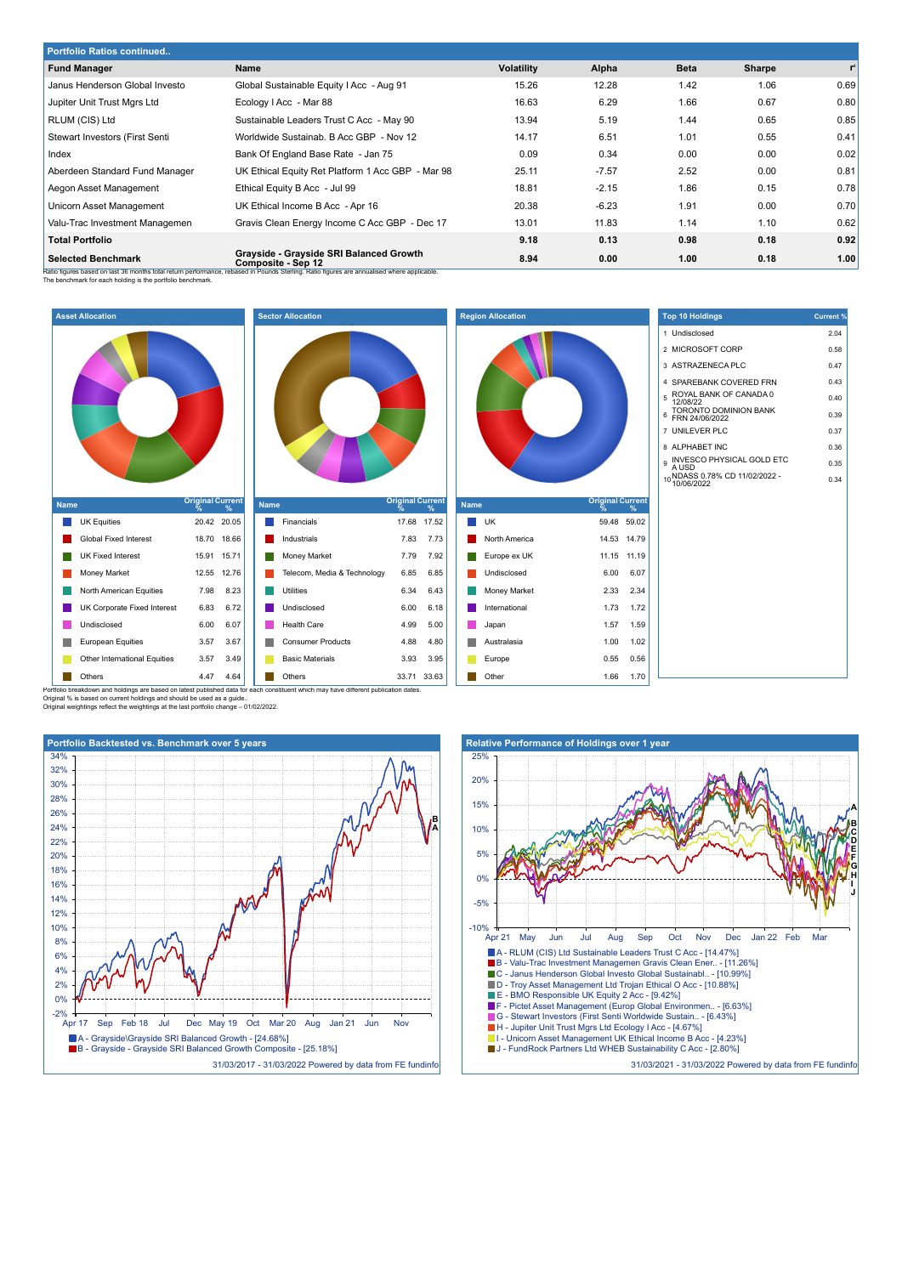| <b>Portfolio Ratios continued</b> |                                                                                                                                                                                                            |                   |         |             |        |                |  |  |  |
|-----------------------------------|------------------------------------------------------------------------------------------------------------------------------------------------------------------------------------------------------------|-------------------|---------|-------------|--------|----------------|--|--|--|
| <b>Fund Manager</b>               | Name                                                                                                                                                                                                       | <b>Volatility</b> | Alpha   | <b>Beta</b> | Sharpe | $\mathbf{r}^2$ |  |  |  |
| Janus Henderson Global Investo    | Global Sustainable Equity I Acc - Aug 91                                                                                                                                                                   | 15.26             | 12.28   | 1.42        | 1.06   | 0.69           |  |  |  |
| Jupiter Unit Trust Mgrs Ltd       | Ecology I Acc - Mar 88                                                                                                                                                                                     | 16.63             | 6.29    | 1.66        | 0.67   | 0.80           |  |  |  |
| RLUM (CIS) Ltd                    | Sustainable Leaders Trust C Acc - May 90                                                                                                                                                                   | 13.94             | 5.19    | 1.44        | 0.65   | 0.85           |  |  |  |
| Stewart Investors (First Senti    | Worldwide Sustainab, B Acc GBP - Nov 12                                                                                                                                                                    | 14.17             | 6.51    | 1.01        | 0.55   | 0.41           |  |  |  |
| Index                             | Bank Of England Base Rate - Jan 75                                                                                                                                                                         | 0.09              | 0.34    | 0.00        | 0.00   | 0.02           |  |  |  |
| Aberdeen Standard Fund Manager    | UK Ethical Equity Ret Platform 1 Acc GBP - Mar 98                                                                                                                                                          | 25.11             | $-7.57$ | 2.52        | 0.00   | 0.81           |  |  |  |
| Aegon Asset Management            | Ethical Equity B Acc - Jul 99                                                                                                                                                                              | 18.81             | $-2.15$ | 1.86        | 0.15   | 0.78           |  |  |  |
| Unicorn Asset Management          | UK Ethical Income B Acc - Apr 16                                                                                                                                                                           | 20.38             | $-6.23$ | 1.91        | 0.00   | 0.70           |  |  |  |
| Valu-Trac Investment Managemen    | Gravis Clean Energy Income C Acc GBP - Dec 17                                                                                                                                                              | 13.01             | 11.83   | 1.14        | 1.10   | 0.62           |  |  |  |
| <b>Total Portfolio</b>            |                                                                                                                                                                                                            | 9.18              | 0.13    | 0.98        | 0.18   | 0.92           |  |  |  |
| <b>Selected Benchmark</b>         | Grayside - Grayside SRI Balanced Growth<br>Composite - Sep 12<br>Patio figures based on last 26 menths total return performance, rebased in Dounda Starling. Patio figures are annualized where annipoble. | 8.94              | 0.00    | 1.00        | 0.18   | 1.00           |  |  |  |

Ratio figures based on last 36 months total return performance, rebased in Pounds Sterling. Ratio figures are annualised where applicable.<br>The benchmark for each holding is the portfolio benchmark.



Original % is based on current holdings and should be used as a guide..

Original weightings reflect the weightings at the last portfolio change – 01/02/2022.